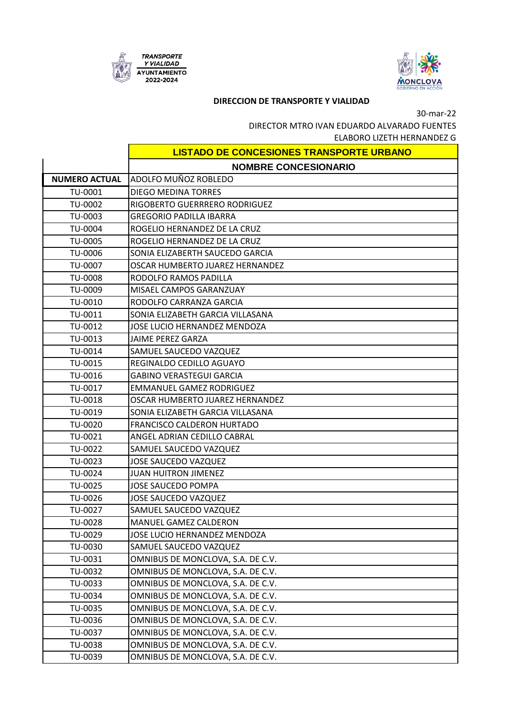



## **DIRECCION DE TRANSPORTE Y VIALIDAD**

30-mar-22

DIRECTOR MTRO IVAN EDUARDO ALVARADO FUENTES

ELABORO LIZETH HERNANDEZ G

|                      | <b>LISTADO DE CONCESIONES TRANSPORTE URBANO</b> |
|----------------------|-------------------------------------------------|
|                      | <b>NOMBRE CONCESIONARIO</b>                     |
| <b>NUMERO ACTUAL</b> | ADOLFO MUÑOZ ROBLEDO                            |
| TU-0001              | <b>DIEGO MEDINA TORRES</b>                      |
| TU-0002              | RIGOBERTO GUERRRERO RODRIGUEZ                   |
| TU-0003              | <b>GREGORIO PADILLA IBARRA</b>                  |
| TU-0004              | ROGELIO HERNANDEZ DE LA CRUZ                    |
| TU-0005              | ROGELIO HERNANDEZ DE LA CRUZ                    |
| TU-0006              | SONIA ELIZABERTH SAUCEDO GARCIA                 |
| TU-0007              | OSCAR HUMBERTO JUAREZ HERNANDEZ                 |
| <b>TU-0008</b>       | RODOLFO RAMOS PADILLA                           |
| TU-0009              | MISAEL CAMPOS GARANZUAY                         |
| TU-0010              | RODOLFO CARRANZA GARCIA                         |
| TU-0011              | SONIA ELIZABETH GARCIA VILLASANA                |
| TU-0012              | JOSE LUCIO HERNANDEZ MENDOZA                    |
| TU-0013              | <b>JAIME PEREZ GARZA</b>                        |
| TU-0014              | SAMUEL SAUCEDO VAZQUEZ                          |
| TU-0015              | REGINALDO CEDILLO AGUAYO                        |
| TU-0016              | <b>GABINO VERASTEGUI GARCIA</b>                 |
| TU-0017              | <b>EMMANUEL GAMEZ RODRIGUEZ</b>                 |
| TU-0018              | OSCAR HUMBERTO JUAREZ HERNANDEZ                 |
| TU-0019              | SONIA ELIZABETH GARCIA VILLASANA                |
| TU-0020              | FRANCISCO CALDERON HURTADO                      |
| TU-0021              | ANGEL ADRIAN CEDILLO CABRAL                     |
| TU-0022              | SAMUEL SAUCEDO VAZQUEZ                          |
| TU-0023              | JOSE SAUCEDO VAZQUEZ                            |
| TU-0024              | <b>JUAN HUITRON JIMENEZ</b>                     |
| TU-0025              | <b>JOSE SAUCEDO POMPA</b>                       |
| TU-0026              | <b>JOSE SAUCEDO VAZQUEZ</b>                     |
| TU-0027              | SAMUEL SAUCEDO VAZQUEZ                          |
| TU-0028              | MANUEL GAMEZ CALDERON                           |
| TU-0029              | JOSE LUCIO HERNANDEZ MENDOZA                    |
| TU-0030              | SAMUEL SAUCEDO VAZQUEZ                          |
| TU-0031              | OMNIBUS DE MONCLOVA, S.A. DE C.V.               |
| TU-0032              | OMNIBUS DE MONCLOVA, S.A. DE C.V.               |
| TU-0033              | OMNIBUS DE MONCLOVA, S.A. DE C.V.               |
| TU-0034              | OMNIBUS DE MONCLOVA, S.A. DE C.V.               |
| TU-0035              | OMNIBUS DE MONCLOVA, S.A. DE C.V.               |
| TU-0036              | OMNIBUS DE MONCLOVA, S.A. DE C.V.               |
| TU-0037              | OMNIBUS DE MONCLOVA, S.A. DE C.V.               |
| TU-0038              | OMNIBUS DE MONCLOVA, S.A. DE C.V.               |
| TU-0039              | OMNIBUS DE MONCLOVA, S.A. DE C.V.               |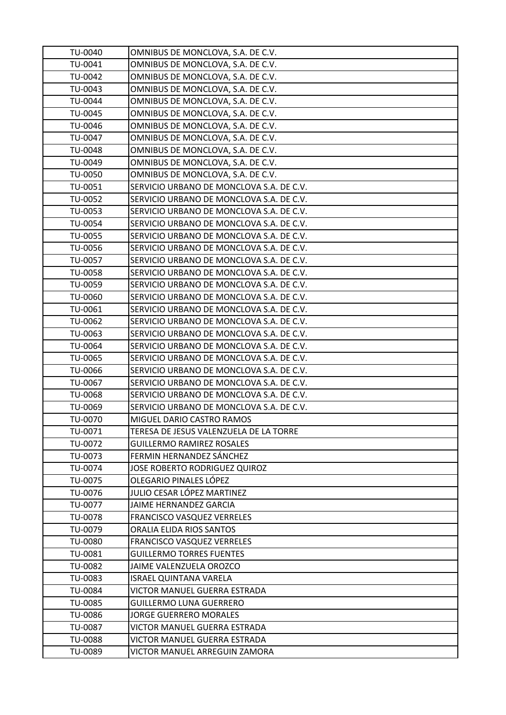| TU-0040        | OMNIBUS DE MONCLOVA, S.A. DE C.V.        |
|----------------|------------------------------------------|
| TU-0041        | OMNIBUS DE MONCLOVA, S.A. DE C.V.        |
| TU-0042        | OMNIBUS DE MONCLOVA, S.A. DE C.V.        |
| TU-0043        | OMNIBUS DE MONCLOVA, S.A. DE C.V.        |
| TU-0044        | OMNIBUS DE MONCLOVA, S.A. DE C.V.        |
| TU-0045        | OMNIBUS DE MONCLOVA, S.A. DE C.V.        |
| TU-0046        | OMNIBUS DE MONCLOVA, S.A. DE C.V.        |
| TU-0047        | OMNIBUS DE MONCLOVA, S.A. DE C.V.        |
| TU-0048        | OMNIBUS DE MONCLOVA, S.A. DE C.V.        |
| TU-0049        | OMNIBUS DE MONCLOVA, S.A. DE C.V.        |
| TU-0050        | OMNIBUS DE MONCLOVA, S.A. DE C.V.        |
| TU-0051        | SERVICIO URBANO DE MONCLOVA S.A. DE C.V. |
| TU-0052        | SERVICIO URBANO DE MONCLOVA S.A. DE C.V. |
| TU-0053        | SERVICIO URBANO DE MONCLOVA S.A. DE C.V. |
| TU-0054        | SERVICIO URBANO DE MONCLOVA S.A. DE C.V. |
| TU-0055        | SERVICIO URBANO DE MONCLOVA S.A. DE C.V. |
| TU-0056        | SERVICIO URBANO DE MONCLOVA S.A. DE C.V. |
| TU-0057        | SERVICIO URBANO DE MONCLOVA S.A. DE C.V. |
| TU-0058        | SERVICIO URBANO DE MONCLOVA S.A. DE C.V. |
| TU-0059        | SERVICIO URBANO DE MONCLOVA S.A. DE C.V. |
| TU-0060        | SERVICIO URBANO DE MONCLOVA S.A. DE C.V. |
| TU-0061        | SERVICIO URBANO DE MONCLOVA S.A. DE C.V. |
| TU-0062        | SERVICIO URBANO DE MONCLOVA S.A. DE C.V. |
| TU-0063        | SERVICIO URBANO DE MONCLOVA S.A. DE C.V. |
| TU-0064        | SERVICIO URBANO DE MONCLOVA S.A. DE C.V. |
| TU-0065        | SERVICIO URBANO DE MONCLOVA S.A. DE C.V. |
| TU-0066        | SERVICIO URBANO DE MONCLOVA S.A. DE C.V. |
| TU-0067        | SERVICIO URBANO DE MONCLOVA S.A. DE C.V. |
| TU-0068        | SERVICIO URBANO DE MONCLOVA S.A. DE C.V. |
| TU-0069        | SERVICIO URBANO DE MONCLOVA S.A. DE C.V. |
| TU-0070        | MIGUEL DARIO CASTRO RAMOS                |
| TU-0071        | TERESA DE JESUS VALENZUELA DE LA TORRE   |
| TU-0072        | <b>GUILLERMO RAMIREZ ROSALES</b>         |
| TU-0073        | FERMIN HERNANDEZ SÁNCHEZ                 |
| TU-0074        | <b>JOSE ROBERTO RODRIGUEZ QUIROZ</b>     |
| TU-0075        | OLEGARIO PINALES LÓPEZ                   |
| TU-0076        | JULIO CESAR LÓPEZ MARTINEZ               |
| TU-0077        | JAIME HERNANDEZ GARCIA                   |
| TU-0078        | <b>FRANCISCO VASQUEZ VERRELES</b>        |
| TU-0079        | ORALIA ELIDA RIOS SANTOS                 |
| TU-0080        | <b>FRANCISCO VASQUEZ VERRELES</b>        |
| TU-0081        | <b>GUILLERMO TORRES FUENTES</b>          |
| TU-0082        | JAIME VALENZUELA OROZCO                  |
| TU-0083        | <b>ISRAEL QUINTANA VARELA</b>            |
| TU-0084        | VICTOR MANUEL GUERRA ESTRADA             |
| TU-0085        | <b>GUILLERMO LUNA GUERRERO</b>           |
| TU-0086        | <b>JORGE GUERRERO MORALES</b>            |
| TU-0087        | VICTOR MANUEL GUERRA ESTRADA             |
| <b>TU-0088</b> | VICTOR MANUEL GUERRA ESTRADA             |
| TU-0089        | VICTOR MANUEL ARREGUIN ZAMORA            |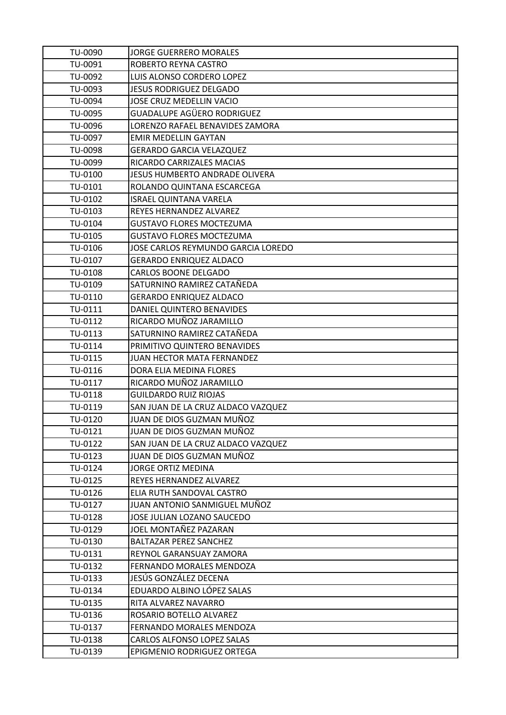| TU-0090 | <b>JORGE GUERRERO MORALES</b>      |
|---------|------------------------------------|
| TU-0091 | ROBERTO REYNA CASTRO               |
| TU-0092 | LUIS ALONSO CORDERO LOPEZ          |
| TU-0093 | <b>JESUS RODRIGUEZ DELGADO</b>     |
| TU-0094 | JOSE CRUZ MEDELLIN VACIO           |
| TU-0095 | GUADALUPE AGÜERO RODRIGUEZ         |
| TU-0096 | LORENZO RAFAEL BENAVIDES ZAMORA    |
| TU-0097 | <b>EMIR MEDELLIN GAYTAN</b>        |
| TU-0098 | <b>GERARDO GARCIA VELAZQUEZ</b>    |
| TU-0099 | RICARDO CARRIZALES MACIAS          |
| TU-0100 | JESUS HUMBERTO ANDRADE OLIVERA     |
| TU-0101 | ROLANDO QUINTANA ESCARCEGA         |
| TU-0102 | <b>ISRAEL QUINTANA VARELA</b>      |
| TU-0103 | REYES HERNANDEZ ALVAREZ            |
| TU-0104 | <b>GUSTAVO FLORES MOCTEZUMA</b>    |
| TU-0105 | <b>GUSTAVO FLORES MOCTEZUMA</b>    |
| TU-0106 | JOSE CARLOS REYMUNDO GARCIA LOREDO |
| TU-0107 | <b>GERARDO ENRIQUEZ ALDACO</b>     |
| TU-0108 | <b>CARLOS BOONE DELGADO</b>        |
| TU-0109 | SATURNINO RAMIREZ CATAÑEDA         |
| TU-0110 | <b>GERARDO ENRIQUEZ ALDACO</b>     |
| TU-0111 | DANIEL QUINTERO BENAVIDES          |
| TU-0112 | RICARDO MUÑOZ JARAMILLO            |
| TU-0113 | SATURNINO RAMIREZ CATAÑEDA         |
| TU-0114 | PRIMITIVO QUINTERO BENAVIDES       |
| TU-0115 | JUAN HECTOR MATA FERNANDEZ         |
| TU-0116 | DORA ELIA MEDINA FLORES            |
| TU-0117 | RICARDO MUÑOZ JARAMILLO            |
| TU-0118 | <b>GUILDARDO RUIZ RIOJAS</b>       |
| TU-0119 | SAN JUAN DE LA CRUZ ALDACO VAZQUEZ |
| TU-0120 | JUAN DE DIOS GUZMAN MUÑOZ          |
| TU-0121 | JUAN DE DIOS GUZMAN MUÑOZ          |
| TU-0122 | SAN JUAN DE LA CRUZ ALDACO VAZQUEZ |
| TU-0123 | JUAN DE DIOS GUZMAN MUÑOZ          |
| TU-0124 | JORGE ORTIZ MEDINA                 |
| TU-0125 | <b>REYES HERNANDEZ ALVAREZ</b>     |
| TU-0126 | ELIA RUTH SANDOVAL CASTRO          |
| TU-0127 | JUAN ANTONIO SANMIGUEL MUÑOZ       |
| TU-0128 | JOSE JULIAN LOZANO SAUCEDO         |
| TU-0129 | JOEL MONTAÑEZ PAZARAN              |
| TU-0130 | BALTAZAR PEREZ SANCHEZ             |
| TU-0131 | REYNOL GARANSUAY ZAMORA            |
| TU-0132 | FERNANDO MORALES MENDOZA           |
| TU-0133 | JESÚS GONZÁLEZ DECENA              |
| TU-0134 | EDUARDO ALBINO LÓPEZ SALAS         |
| TU-0135 | RITA ALVAREZ NAVARRO               |
| TU-0136 | ROSARIO BOTELLO ALVAREZ            |
| TU-0137 | FERNANDO MORALES MENDOZA           |
| TU-0138 | <b>CARLOS ALFONSO LOPEZ SALAS</b>  |
| TU-0139 | EPIGMENIO RODRIGUEZ ORTEGA         |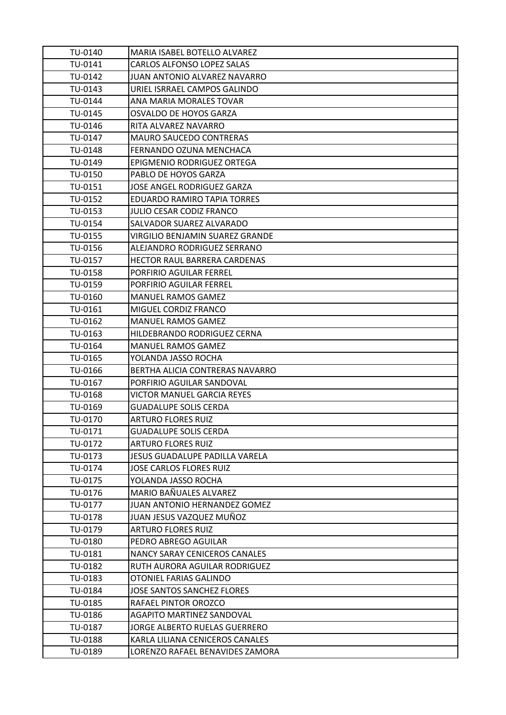| TU-0140 | MARIA ISABEL BOTELLO ALVAREZ          |
|---------|---------------------------------------|
| TU-0141 | CARLOS ALFONSO LOPEZ SALAS            |
| TU-0142 | JUAN ANTONIO ALVAREZ NAVARRO          |
| TU-0143 | URIEL ISRRAEL CAMPOS GALINDO          |
| TU-0144 | ANA MARIA MORALES TOVAR               |
| TU-0145 | OSVALDO DE HOYOS GARZA                |
| TU-0146 | RITA ALVAREZ NAVARRO                  |
| TU-0147 | <b>MAURO SAUCEDO CONTRERAS</b>        |
| TU-0148 | FERNANDO OZUNA MENCHACA               |
| TU-0149 | EPIGMENIO RODRIGUEZ ORTEGA            |
| TU-0150 | PABLO DE HOYOS GARZA                  |
| TU-0151 | JOSE ANGEL RODRIGUEZ GARZA            |
| TU-0152 | EDUARDO RAMIRO TAPIA TORRES           |
| TU-0153 | <b>JULIO CESAR CODIZ FRANCO</b>       |
| TU-0154 | SALVADOR SUAREZ ALVARADO              |
| TU-0155 | VIRGILIO BENJAMIN SUAREZ GRANDE       |
| TU-0156 | ALEJANDRO RODRIGUEZ SERRANO           |
| TU-0157 | HECTOR RAUL BARRERA CARDENAS          |
| TU-0158 | PORFIRIO AGUILAR FERREL               |
| TU-0159 | PORFIRIO AGUILAR FERREL               |
| TU-0160 | <b>MANUEL RAMOS GAMEZ</b>             |
| TU-0161 | MIGUEL CORDIZ FRANCO                  |
| TU-0162 | <b>MANUEL RAMOS GAMEZ</b>             |
| TU-0163 | HILDEBRANDO RODRIGUEZ CERNA           |
| TU-0164 | <b>MANUEL RAMOS GAMEZ</b>             |
| TU-0165 | YOLANDA JASSO ROCHA                   |
| TU-0166 | BERTHA ALICIA CONTRERAS NAVARRO       |
| TU-0167 | PORFIRIO AGUILAR SANDOVAL             |
| TU-0168 | VICTOR MANUEL GARCIA REYES            |
| TU-0169 | <b>GUADALUPE SOLIS CERDA</b>          |
| TU-0170 | <b>ARTURO FLORES RUIZ</b>             |
| TU-0171 | <b>GUADALUPE SOLIS CERDA</b>          |
| TU-0172 | <b>ARTURO FLORES RUIZ</b>             |
| TU-0173 | <b>JESUS GUADALUPE PADILLA VARELA</b> |
| TU-0174 | <b>JOSE CARLOS FLORES RUIZ</b>        |
| TU-0175 | YOLANDA JASSO ROCHA                   |
| TU-0176 | MARIO BAÑUALES ALVAREZ                |
| TU-0177 | JUAN ANTONIO HERNANDEZ GOMEZ          |
| TU-0178 | JUAN JESUS VAZQUEZ MUÑOZ              |
| TU-0179 | <b>ARTURO FLORES RUIZ</b>             |
| TU-0180 | PEDRO ABREGO AGUILAR                  |
| TU-0181 | NANCY SARAY CENICEROS CANALES         |
| TU-0182 | RUTH AURORA AGUILAR RODRIGUEZ         |
| TU-0183 | OTONIEL FARIAS GALINDO                |
| TU-0184 | <b>JOSE SANTOS SANCHEZ FLORES</b>     |
| TU-0185 | RAFAEL PINTOR OROZCO                  |
| TU-0186 | <b>AGAPITO MARTINEZ SANDOVAL</b>      |
| TU-0187 | JORGE ALBERTO RUELAS GUERRERO         |
| TU-0188 | KARLA LILIANA CENICEROS CANALES       |
| TU-0189 | LORENZO RAFAEL BENAVIDES ZAMORA       |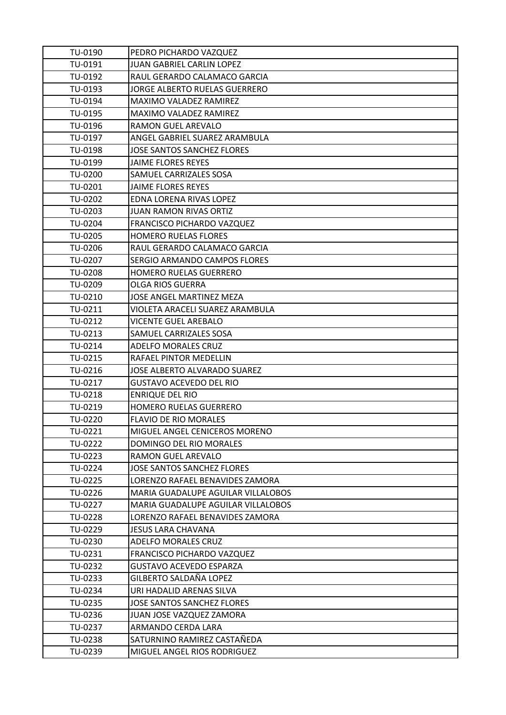| TU-0190        | PEDRO PICHARDO VAZQUEZ              |
|----------------|-------------------------------------|
| TU-0191        | <b>JUAN GABRIEL CARLIN LOPEZ</b>    |
| TU-0192        | RAUL GERARDO CALAMACO GARCIA        |
| TU-0193        | JORGE ALBERTO RUELAS GUERRERO       |
| TU-0194        | <b>MAXIMO VALADEZ RAMIREZ</b>       |
| TU-0195        | <b>MAXIMO VALADEZ RAMIREZ</b>       |
| TU-0196        | RAMON GUEL AREVALO                  |
| TU-0197        | ANGEL GABRIEL SUAREZ ARAMBULA       |
| TU-0198        | <b>JOSE SANTOS SANCHEZ FLORES</b>   |
| TU-0199        | <b>JAIME FLORES REYES</b>           |
| TU-0200        | SAMUEL CARRIZALES SOSA              |
| TU-0201        | <b>JAIME FLORES REYES</b>           |
| TU-0202        | EDNA LORENA RIVAS LOPEZ             |
| TU-0203        | <b>JUAN RAMON RIVAS ORTIZ</b>       |
| TU-0204        | FRANCISCO PICHARDO VAZQUEZ          |
| TU-0205        | <b>HOMERO RUELAS FLORES</b>         |
| TU-0206        | RAUL GERARDO CALAMACO GARCIA        |
| TU-0207        | SERGIO ARMANDO CAMPOS FLORES        |
| TU-0208        | <b>HOMERO RUELAS GUERRERO</b>       |
| TU-0209        | <b>OLGA RIOS GUERRA</b>             |
| TU-0210        | JOSE ANGEL MARTINEZ MEZA            |
| TU-0211        | VIOLETA ARACELI SUAREZ ARAMBULA     |
| TU-0212        | <b>VICENTE GUEL AREBALO</b>         |
| TU-0213        | SAMUEL CARRIZALES SOSA              |
| TU-0214        | <b>ADELFO MORALES CRUZ</b>          |
| TU-0215        | RAFAEL PINTOR MEDELLIN              |
| TU-0216        | <b>JOSE ALBERTO ALVARADO SUAREZ</b> |
| TU-0217        | <b>GUSTAVO ACEVEDO DEL RIO</b>      |
| TU-0218        | <b>ENRIQUE DEL RIO</b>              |
| TU-0219        | HOMERO RUELAS GUERRERO              |
| TU-0220        | <b>FLAVIO DE RIO MORALES</b>        |
| TU-0221        | MIGUEL ANGEL CENICEROS MORENO       |
| TU-0222        | DOMINGO DEL RIO MORALES             |
| TU-0223        | RAMON GUEL AREVALO                  |
| TU-0224        | <b>JOSE SANTOS SANCHEZ FLORES</b>   |
| TU-0225        | LORENZO RAFAEL BENAVIDES ZAMORA     |
| TU-0226        | MARIA GUADALUPE AGUILAR VILLALOBOS  |
| TU-0227        | MARIA GUADALUPE AGUILAR VILLALOBOS  |
| <b>TU-0228</b> | LORENZO RAFAEL BENAVIDES ZAMORA     |
| TU-0229        | JESUS LARA CHAVANA                  |
| TU-0230        | ADELFO MORALES CRUZ                 |
| TU-0231        | FRANCISCO PICHARDO VAZQUEZ          |
| TU-0232        | <b>GUSTAVO ACEVEDO ESPARZA</b>      |
| TU-0233        | GILBERTO SALDAÑA LOPEZ              |
| TU-0234        | URI HADALID ARENAS SILVA            |
| TU-0235        | <b>JOSE SANTOS SANCHEZ FLORES</b>   |
| TU-0236        | JUAN JOSE VAZQUEZ ZAMORA            |
| TU-0237        | ARMANDO CERDA LARA                  |
| TU-0238        | SATURNINO RAMIREZ CASTAÑEDA         |
| TU-0239        | MIGUEL ANGEL RIOS RODRIGUEZ         |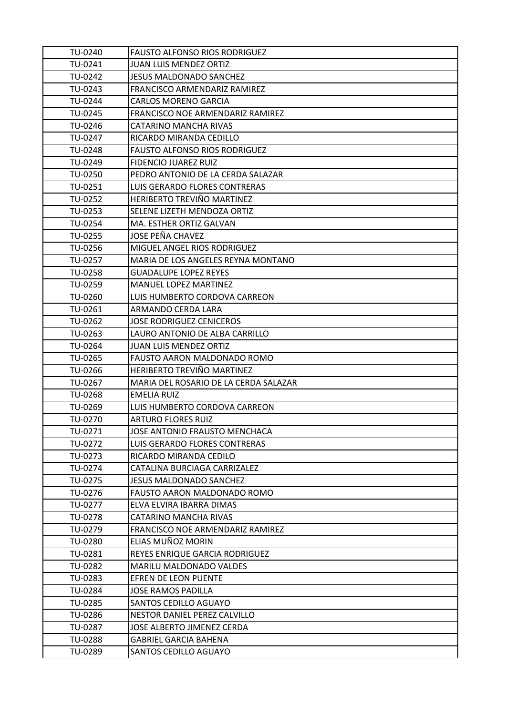| TU-0240 | <b>FAUSTO ALFONSO RIOS RODRIGUEZ</b>    |
|---------|-----------------------------------------|
| TU-0241 | <b>JUAN LUIS MENDEZ ORTIZ</b>           |
| TU-0242 | JESUS MALDONADO SANCHEZ                 |
| TU-0243 | FRANCISCO ARMENDARIZ RAMIREZ            |
| TU-0244 | <b>CARLOS MORENO GARCIA</b>             |
| TU-0245 | <b>FRANCISCO NOE ARMENDARIZ RAMIREZ</b> |
| TU-0246 | CATARINO MANCHA RIVAS                   |
| TU-0247 | RICARDO MIRANDA CEDILLO                 |
| TU-0248 | <b>FAUSTO ALFONSO RIOS RODRIGUEZ</b>    |
| TU-0249 | <b>FIDENCIO JUAREZ RUIZ</b>             |
| TU-0250 | PEDRO ANTONIO DE LA CERDA SALAZAR       |
| TU-0251 | LUIS GERARDO FLORES CONTRERAS           |
| TU-0252 | <b>HERIBERTO TREVIÑO MARTINEZ</b>       |
| TU-0253 | SELENE LIZETH MENDOZA ORTIZ             |
| TU-0254 | MA. ESTHER ORTIZ GALVAN                 |
| TU-0255 | JOSE PEÑA CHAVEZ                        |
| TU-0256 | MIGUEL ANGEL RIOS RODRIGUEZ             |
| TU-0257 | MARIA DE LOS ANGELES REYNA MONTANO      |
| TU-0258 | <b>GUADALUPE LOPEZ REYES</b>            |
| TU-0259 | <b>MANUEL LOPEZ MARTINEZ</b>            |
| TU-0260 | LUIS HUMBERTO CORDOVA CARREON           |
| TU-0261 | ARMANDO CERDA LARA                      |
| TU-0262 | <b>JOSE RODRIGUEZ CENICEROS</b>         |
| TU-0263 | LAURO ANTONIO DE ALBA CARRILLO          |
| TU-0264 | <b>JUAN LUIS MENDEZ ORTIZ</b>           |
| TU-0265 | FAUSTO AARON MALDONADO ROMO             |
| TU-0266 | HERIBERTO TREVIÑO MARTINEZ              |
| TU-0267 | MARIA DEL ROSARIO DE LA CERDA SALAZAR   |
| TU-0268 | <b>EMELIA RUIZ</b>                      |
| TU-0269 | LUIS HUMBERTO CORDOVA CARREON           |
| TU-0270 | ARTURO FLORES RUIZ                      |
| TU-0271 | JOSE ANTONIO FRAUSTO MENCHACA           |
| TU-0272 | LUIS GERARDO FLORES CONTRERAS           |
| TU-0273 | RICARDO MIRANDA CEDILO                  |
| TU-0274 | CATALINA BURCIAGA CARRIZALEZ            |
| TU-0275 | <b>JESUS MALDONADO SANCHEZ</b>          |
| TU-0276 | FAUSTO AARON MALDONADO ROMO             |
| TU-0277 | ELVA ELVIRA IBARRA DIMAS                |
| TU-0278 | CATARINO MANCHA RIVAS                   |
| TU-0279 | <b>FRANCISCO NOE ARMENDARIZ RAMIREZ</b> |
| TU-0280 | ELIAS MUÑOZ MORIN                       |
| TU-0281 | REYES ENRIQUE GARCIA RODRIGUEZ          |
| TU-0282 | <b>MARILU MALDONADO VALDES</b>          |
| TU-0283 | EFREN DE LEON PUENTE                    |
| TU-0284 | JOSE RAMOS PADILLA                      |
| TU-0285 | <b>SANTOS CEDILLO AGUAYO</b>            |
| TU-0286 | NESTOR DANIEL PEREZ CALVILLO            |
| TU-0287 | JOSE ALBERTO JIMENEZ CERDA              |
| TU-0288 | <b>GABRIEL GARCIA BAHENA</b>            |
| TU-0289 | SANTOS CEDILLO AGUAYO                   |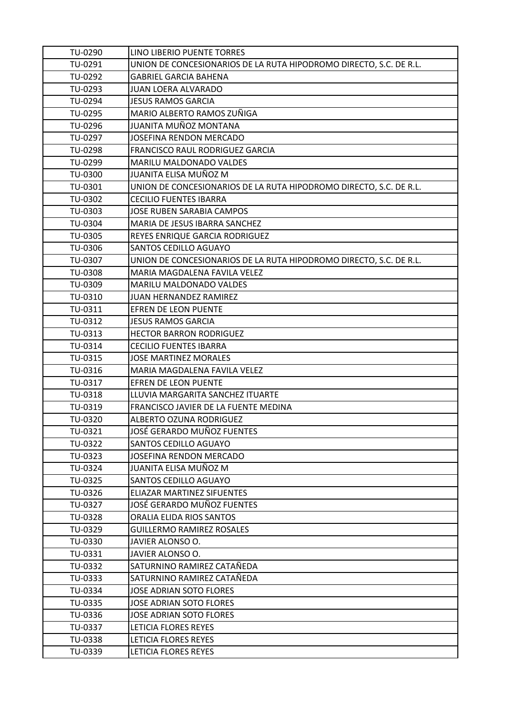| TU-0290 | LINO LIBERIO PUENTE TORRES                                         |
|---------|--------------------------------------------------------------------|
| TU-0291 | UNION DE CONCESIONARIOS DE LA RUTA HIPODROMO DIRECTO, S.C. DE R.L. |
| TU-0292 | <b>GABRIEL GARCIA BAHENA</b>                                       |
| TU-0293 | JUAN LOERA ALVARADO                                                |
| TU-0294 | <b>JESUS RAMOS GARCIA</b>                                          |
| TU-0295 | MARIO ALBERTO RAMOS ZUÑIGA                                         |
| TU-0296 | JUANITA MUÑOZ MONTANA                                              |
| TU-0297 | JOSEFINA RENDON MERCADO                                            |
| TU-0298 | FRANCISCO RAUL RODRIGUEZ GARCIA                                    |
| TU-0299 | MARILU MALDONADO VALDES                                            |
| TU-0300 | JUANITA ELISA MUÑOZ M                                              |
| TU-0301 | UNION DE CONCESIONARIOS DE LA RUTA HIPODROMO DIRECTO, S.C. DE R.L. |
| TU-0302 | <b>CECILIO FUENTES IBARRA</b>                                      |
| TU-0303 | <b>JOSE RUBEN SARABIA CAMPOS</b>                                   |
| TU-0304 | MARIA DE JESUS IBARRA SANCHEZ                                      |
| TU-0305 | REYES ENRIQUE GARCIA RODRIGUEZ                                     |
| TU-0306 | SANTOS CEDILLO AGUAYO                                              |
| TU-0307 | UNION DE CONCESIONARIOS DE LA RUTA HIPODROMO DIRECTO, S.C. DE R.L. |
| TU-0308 | MARIA MAGDALENA FAVILA VELEZ                                       |
| TU-0309 | <b>MARILU MALDONADO VALDES</b>                                     |
| TU-0310 | JUAN HERNANDEZ RAMIREZ                                             |
| TU-0311 | EFREN DE LEON PUENTE                                               |
| TU-0312 | <b>JESUS RAMOS GARCIA</b>                                          |
| TU-0313 | <b>HECTOR BARRON RODRIGUEZ</b>                                     |
| TU-0314 | <b>CECILIO FUENTES IBARRA</b>                                      |
| TU-0315 | <b>JOSE MARTINEZ MORALES</b>                                       |
| TU-0316 | MARIA MAGDALENA FAVILA VELEZ                                       |
| TU-0317 | EFREN DE LEON PUENTE                                               |
| TU-0318 | LLUVIA MARGARITA SANCHEZ ITUARTE                                   |
| TU-0319 | FRANCISCO JAVIER DE LA FUENTE MEDINA                               |
| TU-0320 | <b>ALBERTO OZUNA RODRIGUEZ</b>                                     |
| TU-0321 | JOSÉ GERARDO MUÑOZ FUENTES                                         |
| TU-0322 | SANTOS CEDILLO AGUAYO                                              |
| TU-0323 | JOSEFINA RENDON MERCADO                                            |
| TU-0324 | JUANITA ELISA MUÑOZ M                                              |
| TU-0325 | <b>SANTOS CEDILLO AGUAYO</b>                                       |
| TU-0326 | ELIAZAR MARTINEZ SIFUENTES                                         |
| TU-0327 | JOSÉ GERARDO MUÑOZ FUENTES                                         |
| TU-0328 | ORALIA ELIDA RIOS SANTOS                                           |
| TU-0329 | <b>GUILLERMO RAMIREZ ROSALES</b>                                   |
| TU-0330 | JAVIER ALONSO O.                                                   |
| TU-0331 | JAVIER ALONSO O.                                                   |
| TU-0332 | SATURNINO RAMIREZ CATAÑEDA                                         |
| TU-0333 | SATURNINO RAMIREZ CATAÑEDA                                         |
| TU-0334 | <b>JOSE ADRIAN SOTO FLORES</b>                                     |
| TU-0335 | <b>JOSE ADRIAN SOTO FLORES</b>                                     |
| TU-0336 | <b>JOSE ADRIAN SOTO FLORES</b>                                     |
| TU-0337 | LETICIA FLORES REYES                                               |
| TU-0338 | LETICIA FLORES REYES                                               |
| TU-0339 | LETICIA FLORES REYES                                               |